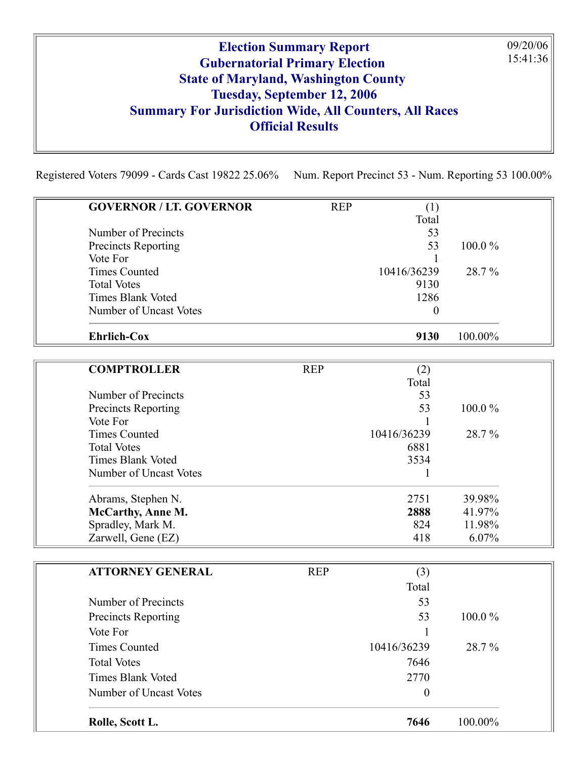## Election Summary Report Gubernatorial Primary Election State of Maryland, Washington County Tuesday, September 12, 2006 Summary For Jurisdiction Wide, All Counters, All Races Official Results

09/20/06 15:41:36

Registered Voters 79099 - Cards Cast 19822 25.06% Num. Report Precinct 53 - Num. Reporting 53 100.00%

| <b>GOVERNOR / LT. GOVERNOR</b>         | <b>REP</b> | (1)              |         |
|----------------------------------------|------------|------------------|---------|
|                                        |            | Total            |         |
| Number of Precincts                    |            | 53<br>53         | 100.0%  |
| <b>Precincts Reporting</b><br>Vote For |            |                  |         |
| <b>Times Counted</b>                   |            | 10416/36239      | 28.7%   |
| <b>Total Votes</b>                     |            | 9130             |         |
| <b>Times Blank Voted</b>               |            | 1286             |         |
| Number of Uncast Votes                 |            | $\boldsymbol{0}$ |         |
| <b>Ehrlich-Cox</b>                     |            | 9130             | 100.00% |
| <b>COMPTROLLER</b>                     | <b>REP</b> | (2)              |         |
|                                        |            | Total            |         |
| Number of Precincts                    |            | 53               |         |
| Precincts Reporting                    |            | 53               | 100.0%  |
| Vote For                               |            |                  |         |
| <b>Times Counted</b>                   |            | 10416/36239      | 28.7%   |
| <b>Total Votes</b>                     |            | 6881             |         |
| <b>Times Blank Voted</b>               |            | 3534             |         |
| Number of Uncast Votes                 |            | 1                |         |
| Abrams, Stephen N.                     |            | 2751             | 39.98%  |
| <b>McCarthy, Anne M.</b>               |            | 2888             | 41.97%  |
| Spradley, Mark M.                      |            | 824              | 11.98%  |
| Zarwell, Gene (EZ)                     |            | 418              | 6.07%   |
| <b>ATTORNEY GENERAL</b>                | <b>REP</b> | (3)              |         |
|                                        |            | Total            |         |
| Number of Precincts                    |            | 53               |         |
| <b>Precincts Reporting</b>             |            | 53               | 100.0%  |
| Vote For                               |            |                  |         |
| <b>Times Counted</b>                   |            | 10416/36239      | 28.7%   |
| <b>Total Votes</b>                     |            | 7646             |         |
| <b>Times Blank Voted</b>               |            | 2770             |         |
| Number of Uncast Votes                 |            | $\boldsymbol{0}$ |         |
| Rolle, Scott L.                        |            | 7646             | 100.00% |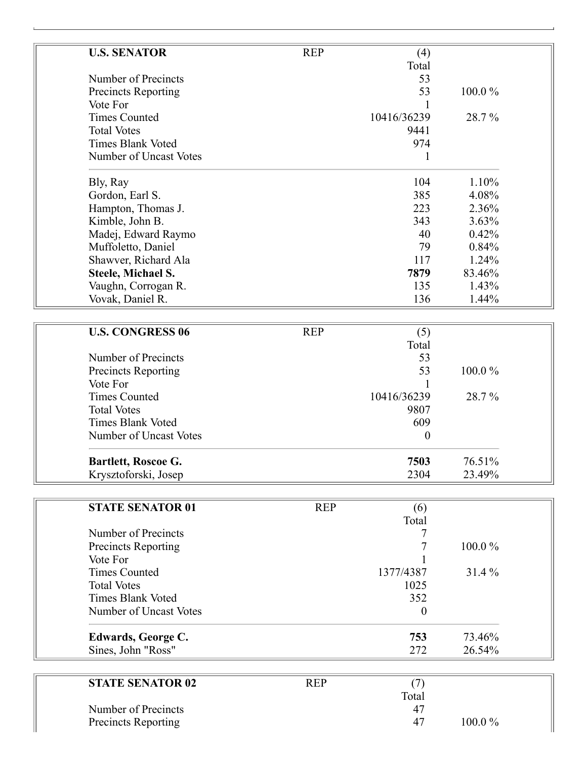| <b>U.S. SENATOR</b>             | <b>REP</b> | (4)              |        |
|---------------------------------|------------|------------------|--------|
|                                 |            | Total            |        |
| Number of Precincts             |            | 53               |        |
| Precincts Reporting             |            | 53               | 100.0% |
| Vote For                        |            |                  |        |
| <b>Times Counted</b>            |            | 10416/36239      | 28.7%  |
| <b>Total Votes</b>              |            | 9441             |        |
| <b>Times Blank Voted</b>        |            | 974              |        |
| Number of Uncast Votes          |            | 1                |        |
| Bly, Ray                        |            | 104              | 1.10%  |
| Gordon, Earl S.                 |            | 385              | 4.08%  |
| Hampton, Thomas J.              |            | 223              | 2.36%  |
| Kimble, John B.                 |            | 343              | 3.63%  |
| Madej, Edward Raymo             |            | 40               | 0.42%  |
| Muffoletto, Daniel              |            | 79               | 0.84%  |
| Shawver, Richard Ala            |            | 117              | 1.24%  |
| Steele, Michael S.              |            | 7879             | 83.46% |
| Vaughn, Corrogan R.             |            | 135              | 1.43%  |
| Vovak, Daniel R.                |            | 136              | 1.44%  |
|                                 |            |                  |        |
| <b>U.S. CONGRESS 06</b>         | <b>REP</b> | (5)              |        |
|                                 |            | Total            |        |
| Number of Precincts             |            | 53               |        |
| Precincts Reporting             |            | 53               | 100.0% |
| Vote For                        |            |                  |        |
| <b>Times Counted</b>            |            | 10416/36239      | 28.7%  |
| <b>Total Votes</b>              |            | 9807             |        |
| <b>Times Blank Voted</b>        |            | 609              |        |
| Number of Uncast Votes          |            | $\boldsymbol{0}$ |        |
|                                 |            |                  |        |
| Bartlett, Roscoe G.             |            | 7503             | 76.51% |
| Krysztoforski, Josep            |            | 2304             | 23.49% |
| <b>STATE SENATOR 01</b>         |            |                  |        |
|                                 | <b>REP</b> | (6)<br>Total     |        |
|                                 |            | 7                |        |
| Number of Precincts             |            |                  |        |
| Precincts Reporting<br>Vote For |            | 7                | 100.0% |
| <b>Times Counted</b>            |            | 1377/4387        |        |
| <b>Total Votes</b>              |            |                  | 31.4 % |
| <b>Times Blank Voted</b>        |            | 1025<br>352      |        |
|                                 |            |                  |        |
| Number of Uncast Votes          |            | $\boldsymbol{0}$ |        |
| Edwards, George C.              |            | 753              | 73.46% |
| Sines, John "Ross"              |            | 272              | 26.54% |
|                                 |            |                  |        |
| <b>STATE SENATOR 02</b>         | <b>REP</b> | (7)              |        |
|                                 |            | Total            |        |
| Number of Precincts             |            | 47               |        |
| Precincts Reporting             |            | 47               | 100.0% |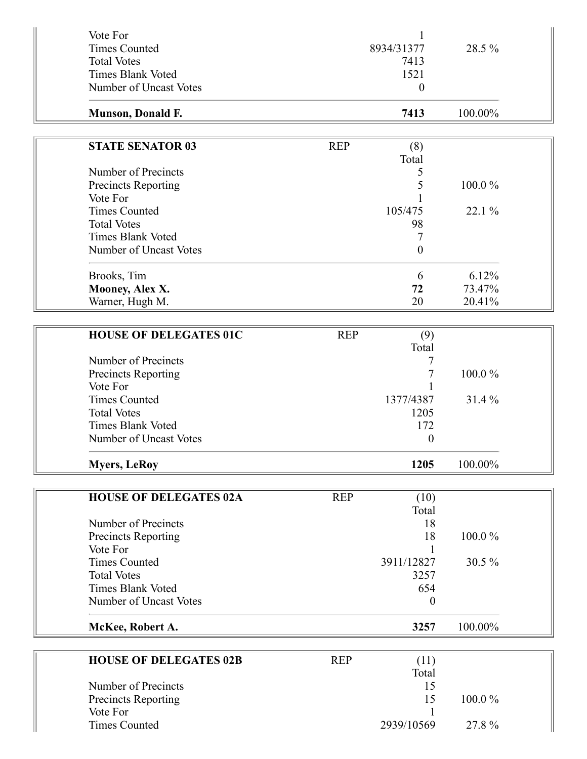| Vote For                      |            |                  |         |  |
|-------------------------------|------------|------------------|---------|--|
| <b>Times Counted</b>          |            | 8934/31377       | 28.5 %  |  |
| <b>Total Votes</b>            |            | 7413             |         |  |
| <b>Times Blank Voted</b>      |            | 1521             |         |  |
| Number of Uncast Votes        |            | $\boldsymbol{0}$ |         |  |
|                               |            |                  |         |  |
| Munson, Donald F.             |            | 7413             | 100.00% |  |
|                               |            |                  |         |  |
| <b>STATE SENATOR 03</b>       | <b>REP</b> | (8)              |         |  |
|                               |            | Total            |         |  |
| Number of Precincts           |            | 5                |         |  |
| Precincts Reporting           |            | 5                | 100.0%  |  |
| Vote For                      |            |                  |         |  |
| <b>Times Counted</b>          |            | 105/475          | 22.1 %  |  |
| <b>Total Votes</b>            |            | 98               |         |  |
| <b>Times Blank Voted</b>      |            | 7                |         |  |
| Number of Uncast Votes        |            | $\boldsymbol{0}$ |         |  |
| Brooks, Tim                   |            | 6                | 6.12%   |  |
| Mooney, Alex X.               |            | 72               | 73.47%  |  |
| Warner, Hugh M.               |            | 20               | 20.41%  |  |
|                               |            |                  |         |  |
| <b>HOUSE OF DELEGATES 01C</b> | <b>REP</b> | (9)              |         |  |
|                               |            | Total            |         |  |
| Number of Precincts           |            |                  |         |  |
| Precincts Reporting           |            |                  | 100.0%  |  |
| Vote For                      |            |                  |         |  |
| <b>Times Counted</b>          |            | 1377/4387        | 31.4%   |  |
| <b>Total Votes</b>            |            | 1205             |         |  |
| <b>Times Blank Voted</b>      |            | 172              |         |  |
| Number of Uncast Votes        |            | 0                |         |  |
|                               |            | 1205             | 100.00% |  |
| <b>Myers, LeRoy</b>           |            |                  |         |  |
| <b>HOUSE OF DELEGATES 02A</b> | <b>REP</b> | (10)             |         |  |
|                               |            | Total            |         |  |
| Number of Precincts           |            | 18               |         |  |
| Precincts Reporting           |            | 18               | 100.0%  |  |
| Vote For                      |            |                  |         |  |
| <b>Times Counted</b>          |            | 3911/12827       | 30.5 %  |  |
| <b>Total Votes</b>            |            | 3257             |         |  |
| <b>Times Blank Voted</b>      |            | 654              |         |  |
| Number of Uncast Votes        |            | $\boldsymbol{0}$ |         |  |
|                               |            |                  |         |  |
| McKee, Robert A.              |            | 3257             | 100.00% |  |
|                               |            |                  |         |  |
| <b>HOUSE OF DELEGATES 02B</b> | <b>REP</b> | (11)             |         |  |
|                               |            | Total            |         |  |
| Number of Precincts           |            | 15               |         |  |
| Precincts Reporting           |            | 15               | 100.0%  |  |
| Vote For                      |            |                  |         |  |
| <b>Times Counted</b>          |            | 2939/10569       | 27.8%   |  |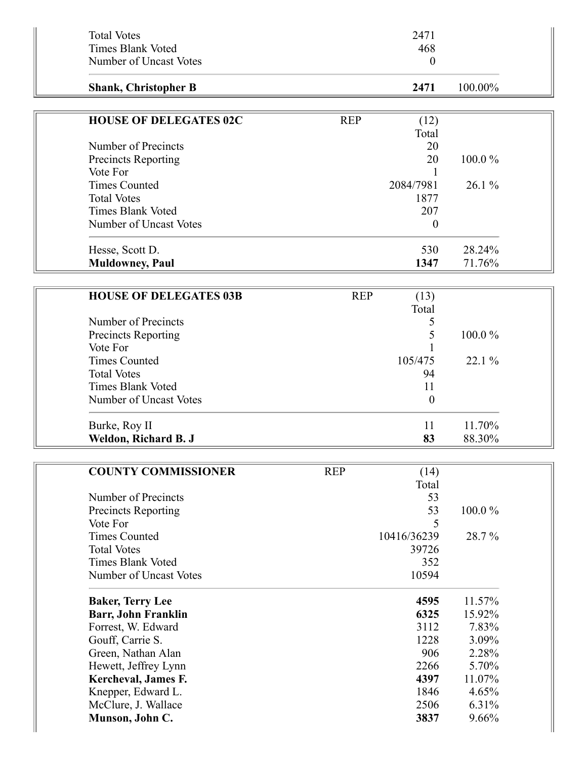| <b>Total Votes</b><br><b>Times Blank Voted</b>        | 2471<br>468                 |         |  |
|-------------------------------------------------------|-----------------------------|---------|--|
| Number of Uncast Votes                                | $\boldsymbol{0}$            |         |  |
| <b>Shank, Christopher B</b>                           | 2471                        | 100.00% |  |
|                                                       |                             |         |  |
| <b>HOUSE OF DELEGATES 02C</b>                         | <b>REP</b><br>(12)<br>Total |         |  |
| Number of Precincts                                   | 20                          |         |  |
| <b>Precincts Reporting</b>                            | 20                          | 100.0%  |  |
| Vote For                                              |                             |         |  |
| <b>Times Counted</b>                                  | 2084/7981                   | 26.1%   |  |
| <b>Total Votes</b>                                    | 1877                        |         |  |
| <b>Times Blank Voted</b>                              | 207                         |         |  |
| Number of Uncast Votes                                | $\boldsymbol{0}$            |         |  |
| Hesse, Scott D.                                       | 530                         | 28.24%  |  |
| <b>Muldowney</b> , Paul                               | 1347                        | 71.76%  |  |
|                                                       |                             |         |  |
| <b>HOUSE OF DELEGATES 03B</b>                         | <b>REP</b><br>(13)<br>Total |         |  |
| Number of Precincts                                   | 5                           |         |  |
| <b>Precincts Reporting</b>                            | 5                           | 100.0%  |  |
| Vote For                                              |                             |         |  |
| <b>Times Counted</b>                                  | 105/475                     | 22.1 %  |  |
| <b>Total Votes</b>                                    | 94                          |         |  |
| <b>Times Blank Voted</b>                              | 11                          |         |  |
| Number of Uncast Votes                                | $\boldsymbol{0}$            |         |  |
| Burke, Roy II                                         | 11                          | 11.70%  |  |
| Weldon, Richard B. J                                  | 83                          | 88.30%  |  |
|                                                       |                             |         |  |
| <b>COUNTY COMMISSIONER</b>                            | <b>REP</b><br>(14)          |         |  |
|                                                       | Total                       |         |  |
| Number of Precincts                                   | 53                          |         |  |
| <b>Precincts Reporting</b>                            | 53                          | 100.0%  |  |
| Vote For<br><b>Times Counted</b>                      | 5                           |         |  |
| <b>Total Votes</b>                                    | 10416/36239<br>39726        | 28.7%   |  |
| <b>Times Blank Voted</b>                              | 352                         |         |  |
| Number of Uncast Votes                                | 10594                       |         |  |
|                                                       | 4595                        | 11.57%  |  |
| <b>Baker, Terry Lee</b><br><b>Barr, John Franklin</b> | 6325                        | 15.92%  |  |
| Forrest, W. Edward                                    | 3112                        | 7.83%   |  |
| Gouff, Carrie S.                                      | 1228                        | 3.09%   |  |
| Green, Nathan Alan                                    | 906                         | 2.28%   |  |
| Hewett, Jeffrey Lynn                                  | 2266                        | 5.70%   |  |
| Kercheval, James F.                                   | 4397                        | 11.07%  |  |
| Knepper, Edward L.                                    | 1846                        | 4.65%   |  |
| McClure, J. Wallace                                   | 2506                        | 6.31%   |  |
| Munson, John C.                                       | 3837                        | 9.66%   |  |
|                                                       |                             |         |  |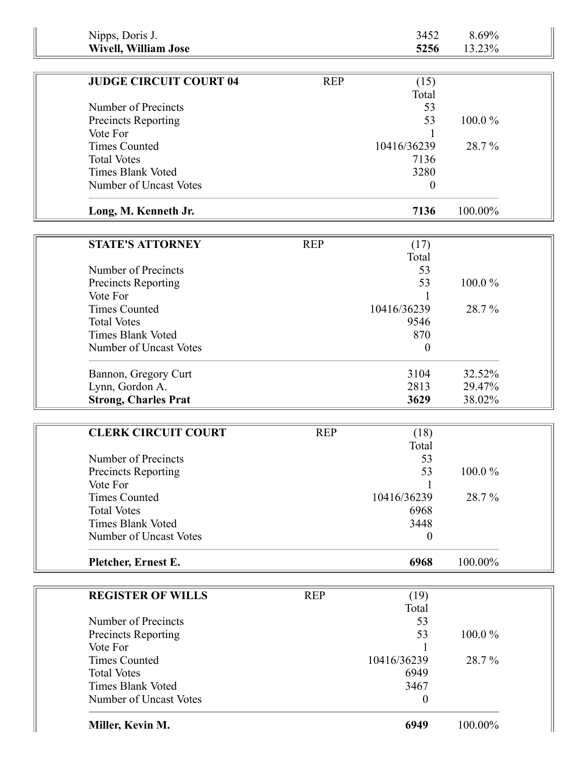| Nipps, Doris J.               |            | 3452             | 8.69%   |  |
|-------------------------------|------------|------------------|---------|--|
| <b>Wivell, William Jose</b>   |            | 5256             | 13.23%  |  |
|                               |            |                  |         |  |
| <b>JUDGE CIRCUIT COURT 04</b> | <b>REP</b> | (15)             |         |  |
|                               |            | Total            |         |  |
| Number of Precincts           |            | 53               |         |  |
| Precincts Reporting           |            | 53               | 100.0%  |  |
| Vote For                      |            |                  |         |  |
| <b>Times Counted</b>          |            | 10416/36239      | 28.7%   |  |
| <b>Total Votes</b>            |            | 7136             |         |  |
| <b>Times Blank Voted</b>      |            | 3280             |         |  |
| Number of Uncast Votes        |            | $\boldsymbol{0}$ |         |  |
| Long, M. Kenneth Jr.          |            | 7136             | 100.00% |  |
|                               |            |                  |         |  |
| <b>STATE'S ATTORNEY</b>       | <b>REP</b> | (17)             |         |  |
|                               |            | Total            |         |  |
| Number of Precincts           |            | 53               |         |  |
| Precincts Reporting           |            | 53               | 100.0%  |  |
| Vote For                      |            |                  |         |  |
| <b>Times Counted</b>          |            | 10416/36239      | 28.7%   |  |
| <b>Total Votes</b>            |            | 9546             |         |  |
| <b>Times Blank Voted</b>      |            | 870              |         |  |
|                               |            |                  |         |  |
| Number of Uncast Votes        |            | $\theta$         |         |  |
| Bannon, Gregory Curt          |            | 3104             | 32.52%  |  |
| Lynn, Gordon A.               |            | 2813             | 29.47%  |  |
| <b>Strong, Charles Prat</b>   |            | 3629             | 38.02%  |  |
|                               |            |                  |         |  |
| <b>CLERK CIRCUIT COURT</b>    | <b>REP</b> | (18)             |         |  |
|                               |            | Total            |         |  |
| Number of Precincts           |            | 53               |         |  |
| <b>Precincts Reporting</b>    |            | 53               | 100.0%  |  |
| Vote For                      |            |                  |         |  |
| <b>Times Counted</b>          |            | 10416/36239      | 28.7%   |  |
| <b>Total Votes</b>            |            | 6968             |         |  |
| <b>Times Blank Voted</b>      |            | 3448             |         |  |
| Number of Uncast Votes        |            | $\theta$         |         |  |
|                               |            |                  |         |  |
| Pletcher, Ernest E.           |            | 6968             | 100.00% |  |
|                               |            |                  |         |  |
| <b>REGISTER OF WILLS</b>      | <b>REP</b> | (19)             |         |  |
|                               |            | Total            |         |  |
| Number of Precincts           |            | 53               |         |  |
| <b>Precincts Reporting</b>    |            | 53               | 100.0%  |  |
| Vote For                      |            |                  |         |  |
| <b>Times Counted</b>          |            | 10416/36239      | 28.7%   |  |
| <b>Total Votes</b>            |            | 6949             |         |  |
| <b>Times Blank Voted</b>      |            | 3467             |         |  |
| Number of Uncast Votes        |            | $\boldsymbol{0}$ |         |  |
| Miller, Kevin M.              |            | 6949             | 100.00% |  |
|                               |            |                  |         |  |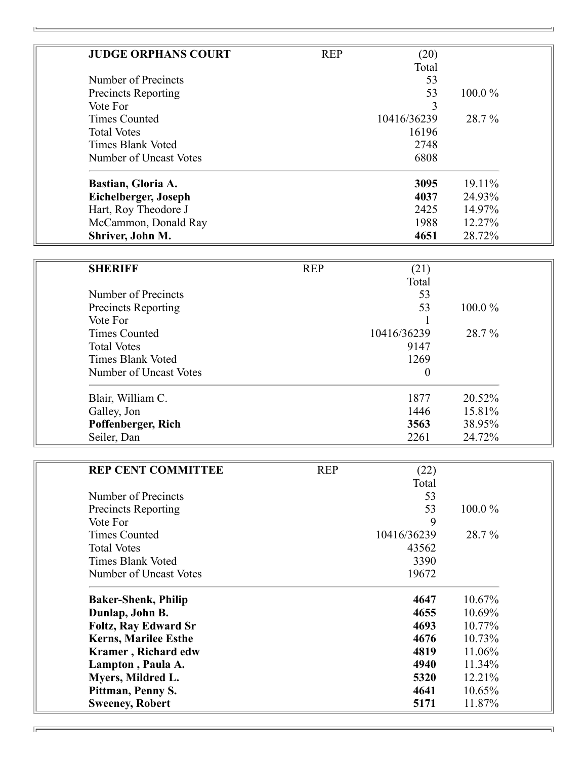| <b>JUDGE ORPHANS COURT</b> | <b>REP</b> | (20)        |           |
|----------------------------|------------|-------------|-----------|
|                            |            | Total       |           |
| Number of Precincts        |            | 53          |           |
| <b>Precincts Reporting</b> |            | 53          | $100.0\%$ |
| Vote For                   |            | 3           |           |
| <b>Times Counted</b>       |            | 10416/36239 | 28.7%     |
| <b>Total Votes</b>         |            | 16196       |           |
| Times Blank Voted          |            | 2748        |           |
| Number of Uncast Votes     |            | 6808        |           |
| Bastian, Gloria A.         |            | 3095        | 19.11%    |
| Eichelberger, Joseph       |            | 4037        | 24.93%    |
| Hart, Roy Theodore J       |            | 2425        | 14.97%    |
| McCammon, Donald Ray       |            | 1988        | 12.27%    |
| Shriver, John M.           |            | 4651        | 28.72%    |

| <b>SHERIFF</b>             | <b>REP</b> | (21)        |           |
|----------------------------|------------|-------------|-----------|
|                            |            | Total       |           |
| Number of Precincts        |            | 53          |           |
| <b>Precincts Reporting</b> |            | 53          | $100.0\%$ |
| Vote For                   |            |             |           |
| <b>Times Counted</b>       |            | 10416/36239 | 28.7%     |
| <b>Total Votes</b>         |            | 9147        |           |
| Times Blank Voted          |            | 1269        |           |
| Number of Uncast Votes     |            | $\theta$    |           |
| Blair, William C.          |            | 1877        | 20.52%    |
| Galley, Jon                |            | 1446        | 15.81%    |
| Poffenberger, Rich         |            | 3563        | 38.95%    |
| Seiler, Dan                |            | 2261        | 24.72%    |

| <b>REP CENT COMMITTEE</b>   | <b>REP</b> | (22)        |           |  |
|-----------------------------|------------|-------------|-----------|--|
|                             |            | Total       |           |  |
| Number of Precincts         |            | 53          |           |  |
| <b>Precincts Reporting</b>  |            | 53          | $100.0\%$ |  |
| Vote For                    |            | 9           |           |  |
| <b>Times Counted</b>        |            | 10416/36239 | 28.7%     |  |
| <b>Total Votes</b>          |            | 43562       |           |  |
| Times Blank Voted           |            | 3390        |           |  |
| Number of Uncast Votes      |            | 19672       |           |  |
| <b>Baker-Shenk, Philip</b>  |            | 4647        | 10.67%    |  |
| Dunlap, John B.             |            | 4655        | 10.69%    |  |
| <b>Foltz, Ray Edward Sr</b> |            | 4693        | 10.77%    |  |
| <b>Kerns, Marilee Esthe</b> |            | 4676        | 10.73%    |  |
| <b>Kramer</b> , Richard edw |            | 4819        | 11.06%    |  |
| Lampton, Paula A.           |            | 4940        | 11.34%    |  |
| Myers, Mildred L.           |            | 5320        | 12.21%    |  |
| Pittman, Penny S.           |            | 4641        | 10.65%    |  |
| <b>Sweeney, Robert</b>      |            | 5171        | 11.87%    |  |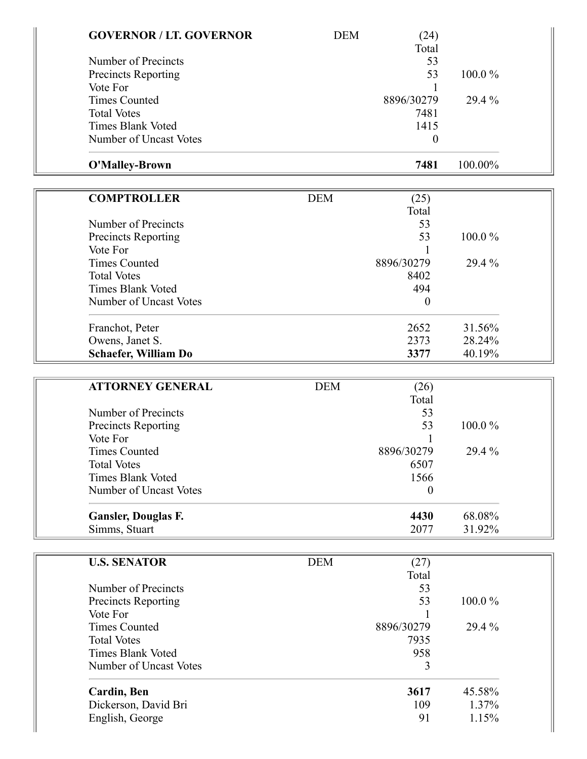| <b>GOVERNOR / LT. GOVERNOR</b> | <b>DEM</b> | (24)             |         |  |
|--------------------------------|------------|------------------|---------|--|
|                                |            | Total            |         |  |
| Number of Precincts            |            | 53               |         |  |
| <b>Precincts Reporting</b>     |            | 53               | 100.0%  |  |
| Vote For                       |            | 1                |         |  |
| <b>Times Counted</b>           |            | 8896/30279       | 29.4 %  |  |
| <b>Total Votes</b>             |            | 7481             |         |  |
| <b>Times Blank Voted</b>       |            | 1415             |         |  |
| Number of Uncast Votes         |            | $\boldsymbol{0}$ |         |  |
| O'Malley-Brown                 |            | 7481             | 100.00% |  |
| <b>COMPTROLLER</b>             | <b>DEM</b> | (25)             |         |  |
|                                |            | Total            |         |  |
| Number of Precincts            |            | 53               |         |  |
| <b>Precincts Reporting</b>     |            | 53               | 100.0%  |  |
| Vote For                       |            |                  |         |  |
| <b>Times Counted</b>           |            | 8896/30279       | 29.4 %  |  |
| <b>Total Votes</b>             |            | 8402             |         |  |
| <b>Times Blank Voted</b>       |            | 494              |         |  |
| Number of Uncast Votes         |            | $\boldsymbol{0}$ |         |  |
|                                |            |                  |         |  |
| Franchot, Peter                |            | 2652             | 31.56%  |  |
| Owens, Janet S.                |            | 2373             | 28.24%  |  |
| <b>Schaefer, William Do</b>    |            | 3377             | 40.19%  |  |
| <b>ATTORNEY GENERAL</b>        | <b>DEM</b> | (26)             |         |  |
|                                |            | Total            |         |  |
| Number of Precincts            |            | 53               |         |  |
| <b>Precincts Reporting</b>     |            | 53               | 100.0%  |  |
| Vote For                       |            |                  |         |  |
| <b>Times Counted</b>           |            | 8896/30279       | 29.4 %  |  |
| <b>Total Votes</b>             |            | 6507             |         |  |
| <b>Times Blank Voted</b>       |            | 1566             |         |  |
| Number of Uncast Votes         |            | $\theta$         |         |  |
| <b>Gansler, Douglas F.</b>     |            | 4430             | 68.08%  |  |
| Simms, Stuart                  |            | 2077             | 31.92%  |  |
| <b>U.S. SENATOR</b>            | <b>DEM</b> | (27)             |         |  |
|                                |            | Total            |         |  |
| Number of Precincts            |            | 53               |         |  |
| <b>Precincts Reporting</b>     |            | 53               | 100.0%  |  |
| Vote For                       |            | 1                |         |  |
| <b>Times Counted</b>           |            | 8896/30279       | 29.4 %  |  |
| <b>Total Votes</b>             |            | 7935             |         |  |
| <b>Times Blank Voted</b>       |            | 958              |         |  |
| Number of Uncast Votes         |            | 3                |         |  |
| Cardin, Ben                    |            | 3617             | 45.58%  |  |
| Dickerson, David Bri           |            | 109              | 1.37%   |  |
| English, George                |            | 91               | 1.15%   |  |
|                                |            |                  |         |  |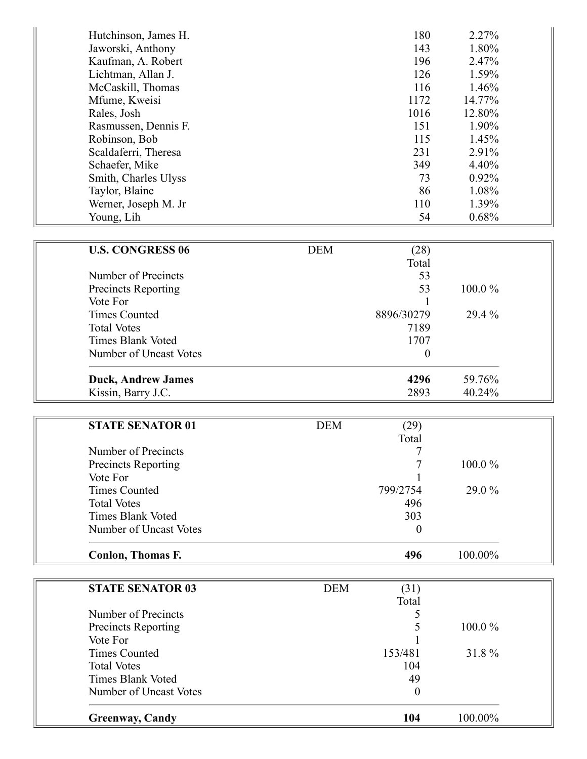| Hutchinson, James H. | 180  | 2.27%    |
|----------------------|------|----------|
| Jaworski, Anthony    | 143  | 1.80%    |
| Kaufman, A. Robert   | 196  | 2.47%    |
| Lichtman, Allan J.   | 126  | 1.59%    |
| McCaskill, Thomas    | 116  | 1.46%    |
| Mfume, Kweisi        | 1172 | 14.77%   |
| Rales, Josh          | 1016 | 12.80%   |
| Rasmussen, Dennis F. | 151  | 1.90%    |
| Robinson, Bob        | 115  | 1.45%    |
| Scaldaferri, Theresa | 231  | $2.91\%$ |
| Schaefer, Mike       | 349  | $4.40\%$ |
| Smith, Charles Ulyss | 73   | $0.92\%$ |
| Taylor, Blaine       | 86   | 1.08%    |
| Werner, Joseph M. Jr | 110  | 1.39%    |
| Young, Lih           | 54   | 0.68%    |

| <b>U.S. CONGRESS 06</b>    | <b>DEM</b> | (28)       |           |  |
|----------------------------|------------|------------|-----------|--|
|                            |            | Total      |           |  |
| Number of Precincts        |            | 53         |           |  |
| <b>Precincts Reporting</b> |            | 53         | $100.0\%$ |  |
| Vote For                   |            |            |           |  |
| <b>Times Counted</b>       |            | 8896/30279 | 29.4 %    |  |
| <b>Total Votes</b>         |            | 7189       |           |  |
| Times Blank Voted          |            | 1707       |           |  |
| Number of Uncast Votes     |            | $\theta$   |           |  |
| <b>Duck, Andrew James</b>  |            | 4296       | 59.76%    |  |
| Kissin, Barry J.C.         |            | 2893       | 40.24%    |  |

| Conlon, Thomas F.        |            | 496      | 100.00%   |
|--------------------------|------------|----------|-----------|
| Number of Uncast Votes   |            | $\theta$ |           |
| <b>Times Blank Voted</b> |            | 303      |           |
| <b>Total Votes</b>       |            | 496      |           |
| <b>Times Counted</b>     |            | 799/2754 | $29.0\%$  |
| Vote For                 |            |          |           |
| Precincts Reporting      |            |          | $100.0\%$ |
| Number of Precincts      |            |          |           |
|                          |            | Total    |           |
| <b>STATE SENATOR 01</b>  | <b>DEM</b> | (29)     |           |

| <b>STATE SENATOR 03</b> | (31)<br><b>DEM</b> |           |
|-------------------------|--------------------|-----------|
|                         | Total              |           |
| Number of Precincts     |                    |           |
| Precincts Reporting     |                    | $100.0\%$ |
| Vote For                |                    |           |
| <b>Times Counted</b>    | 153/481            | 31.8%     |
| <b>Total Votes</b>      | 104                |           |
| Times Blank Voted       | 49                 |           |
| Number of Uncast Votes  |                    |           |
| <b>Greenway, Candy</b>  | 104                | 100.00%   |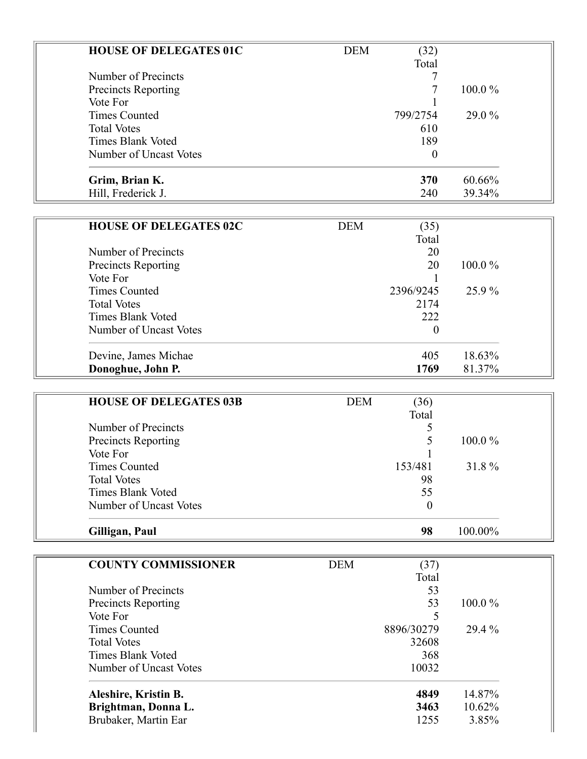| <b>HOUSE OF DELEGATES 01C</b> | <b>DEM</b> | (32)             |           |  |
|-------------------------------|------------|------------------|-----------|--|
|                               |            | Total            |           |  |
| Number of Precincts           |            |                  |           |  |
| <b>Precincts Reporting</b>    |            |                  | 100.0%    |  |
| Vote For                      |            |                  |           |  |
| <b>Times Counted</b>          |            | 799/2754         | 29.0 %    |  |
| <b>Total Votes</b>            |            | 610              |           |  |
| <b>Times Blank Voted</b>      |            | 189              |           |  |
| Number of Uncast Votes        |            | 0                |           |  |
| Grim, Brian K.                |            | 370              | 60.66%    |  |
| Hill, Frederick J.            |            | 240              | 39.34%    |  |
|                               |            |                  |           |  |
| <b>HOUSE OF DELEGATES 02C</b> | <b>DEM</b> | (35)             |           |  |
|                               |            | Total            |           |  |
| Number of Precincts           |            | 20               |           |  |
| <b>Precincts Reporting</b>    |            | 20               | $100.0\%$ |  |
| Vote For                      |            |                  |           |  |
| <b>Times Counted</b>          |            | 2396/9245        | 25.9%     |  |
| <b>Total Votes</b>            |            | 2174             |           |  |
| <b>Times Blank Voted</b>      |            | 222              |           |  |
| Number of Uncast Votes        |            | $\boldsymbol{0}$ |           |  |
| Devine, James Michae          |            | 405              | 18.63%    |  |
| Donoghue, John P.             |            | 1769             | 81.37%    |  |

| <b>HOUSE OF DELEGATES 03B</b> | <b>DEM</b> | (36)     |           |  |
|-------------------------------|------------|----------|-----------|--|
|                               |            | Total    |           |  |
| Number of Precincts           |            |          |           |  |
| Precincts Reporting           |            |          | $100.0\%$ |  |
| Vote For                      |            |          |           |  |
| <b>Times Counted</b>          |            | 153/481  | 31.8%     |  |
| <b>Total Votes</b>            |            | 98       |           |  |
| Times Blank Voted             |            | 55       |           |  |
| Number of Uncast Votes        |            | $\theta$ |           |  |
| Gilligan, Paul                |            | 98       | 100.00%   |  |

| (37)<br><b>DEM</b> |           |
|--------------------|-----------|
| Total              |           |
| 53                 |           |
| 53                 | $100.0\%$ |
|                    |           |
| 8896/30279         | 29.4 %    |
| 32608              |           |
| 368                |           |
| 10032              |           |
| 4849               | 14.87%    |
| 3463               | 10.62%    |
| 1255               | 3.85%     |
|                    |           |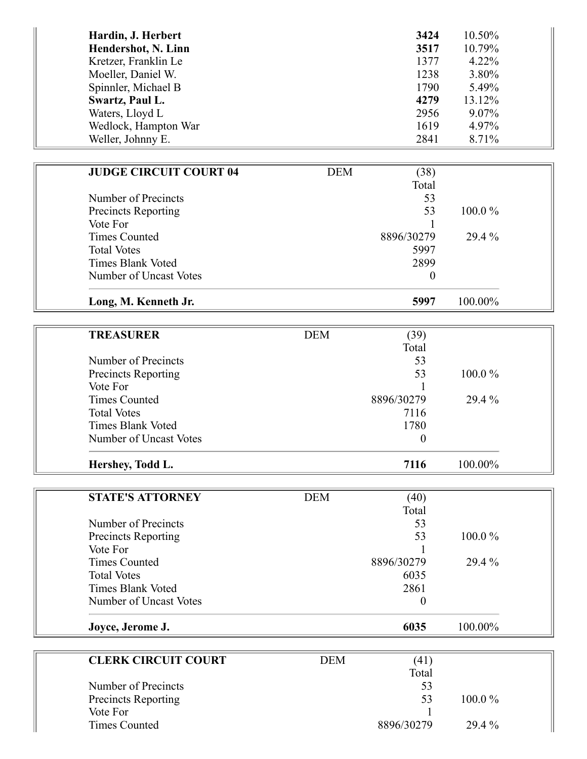| Hardin, J. Herbert   | 3424 | 10.50%   |
|----------------------|------|----------|
| Hendershot, N. Linn  | 3517 | 10.79%   |
| Kretzer, Franklin Le | 1377 | $4.22\%$ |
| Moeller, Daniel W.   | 1238 | 3.80%    |
| Spinnler, Michael B  | 1790 | 5.49%    |
| Swartz, Paul L.      | 4279 | 13.12%   |
| Waters, Lloyd L      | 2956 | $9.07\%$ |
| Wedlock, Hampton War | 1619 | 4.97%    |
| Weller, Johnny E.    | 2841 | 8.71%    |

| <b>JUDGE CIRCUIT COURT 04</b> | <b>DEM</b> | (38)             |         |  |
|-------------------------------|------------|------------------|---------|--|
|                               |            | Total            |         |  |
| Number of Precincts           |            | 53               |         |  |
| Precincts Reporting           |            | 53               | 100.0%  |  |
| Vote For                      |            |                  |         |  |
| <b>Times Counted</b>          |            | 8896/30279       | 29.4 %  |  |
| <b>Total Votes</b>            |            | 5997             |         |  |
| <b>Times Blank Voted</b>      |            | 2899             |         |  |
| Number of Uncast Votes        |            | $\boldsymbol{0}$ |         |  |
| Long, M. Kenneth Jr.          |            | 5997             | 100.00% |  |
|                               |            |                  |         |  |
| <b>TREASURER</b>              | <b>DEM</b> | (39)             |         |  |
|                               |            | Total            |         |  |
| Number of Precincts           |            | 53               |         |  |
| Precincts Reporting           |            | 53               | 100.0%  |  |
| Vote For                      |            |                  |         |  |
| <b>Times Counted</b>          |            | 8896/30279       | 29.4 %  |  |
| <b>Total Votes</b>            |            | 7116             |         |  |
| <b>Times Blank Voted</b>      |            | 1780             |         |  |
| Number of Uncast Votes        |            | $\boldsymbol{0}$ |         |  |
| Hershey, Todd L.              |            | 7116             | 100.00% |  |
|                               |            |                  |         |  |
| <b>STATE'S ATTORNEY</b>       | <b>DEM</b> | (40)             |         |  |
|                               |            | Total            |         |  |
| Number of Precincts           |            | 53               |         |  |
| <b>Precincts Reporting</b>    |            | 53               | 100.0%  |  |
| Vote For                      |            |                  |         |  |
| <b>Times Counted</b>          |            | 8896/30279       | 29.4 %  |  |
| <b>Total Votes</b>            |            | 6035             |         |  |
| <b>Times Blank Voted</b>      |            | 2861             |         |  |
| Number of Uncast Votes        |            | $\boldsymbol{0}$ |         |  |
| Joyce, Jerome J.              |            | 6035             | 100.00% |  |
|                               |            |                  |         |  |
| <b>CLERK CIRCUIT COURT</b>    | DEM        | (41)             |         |  |
|                               |            | Total            |         |  |
| Number of Precincts           |            | 53               |         |  |
| Precincts Reporting           |            | 53               | 100.0%  |  |
| Vote For                      |            |                  |         |  |
| <b>Times Counted</b>          |            | 8896/30279       | 29.4%   |  |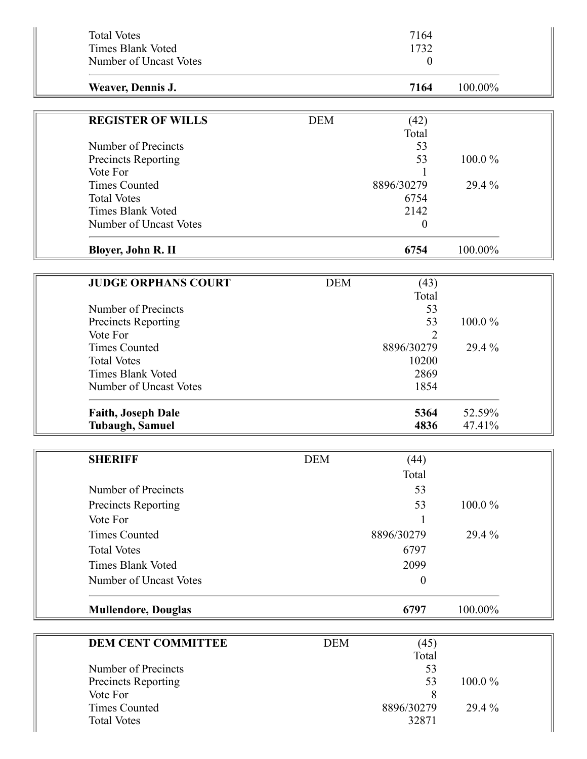| <b>Total Votes</b><br><b>Times Blank Voted</b> |            | 7164<br>1732     |         |  |
|------------------------------------------------|------------|------------------|---------|--|
| Number of Uncast Votes                         |            | $\boldsymbol{0}$ |         |  |
| Weaver, Dennis J.                              |            | 7164             | 100.00% |  |
| <b>REGISTER OF WILLS</b>                       | <b>DEM</b> | (42)<br>Total    |         |  |
| Number of Precincts                            |            | 53               |         |  |
| Precincts Reporting                            |            | 53               | 100.0%  |  |
| Vote For                                       |            |                  |         |  |
| <b>Times Counted</b>                           |            | 8896/30279       | 29.4 %  |  |
| <b>Total Votes</b>                             |            | 6754             |         |  |
| <b>Times Blank Voted</b>                       |            | 2142             |         |  |
| Number of Uncast Votes                         |            | $\boldsymbol{0}$ |         |  |
| Bloyer, John R. II                             |            | 6754             | 100.00% |  |
|                                                |            |                  |         |  |
| <b>JUDGE ORPHANS COURT</b>                     | <b>DEM</b> | (43)             |         |  |
| Number of Precincts                            |            | Total<br>53      |         |  |
|                                                |            | 53               | 100.0%  |  |
| Precincts Reporting<br>Vote For                |            | $\mathfrak{D}$   |         |  |
| <b>Times Counted</b>                           |            | 8896/30279       | 29.4 %  |  |
| <b>Total Votes</b>                             |            | 10200            |         |  |
| <b>Times Blank Voted</b>                       |            | 2869             |         |  |
| Number of Uncast Votes                         |            | 1854             |         |  |
|                                                |            |                  |         |  |
| <b>Faith, Joseph Dale</b>                      |            | 5364<br>4836     | 52.59%  |  |
| <b>Tubaugh, Samuel</b>                         |            |                  | 47.41%  |  |
| <b>SHERIFF</b>                                 | <b>DEM</b> | (44)             |         |  |
|                                                |            | Total            |         |  |
| Number of Precincts                            |            | 53               |         |  |
|                                                |            |                  |         |  |
| Precincts Reporting                            |            | 53               | 100.0%  |  |
| Vote For                                       |            | 1                |         |  |
| <b>Times Counted</b>                           |            | 8896/30279       | 29.4 %  |  |
| <b>Total Votes</b>                             |            | 6797             |         |  |
| <b>Times Blank Voted</b>                       |            | 2099             |         |  |
| Number of Uncast Votes                         |            | $\boldsymbol{0}$ |         |  |
| <b>Mullendore, Douglas</b>                     |            | 6797             | 100.00% |  |
|                                                |            |                  |         |  |
| <b>DEM CENT COMMITTEE</b>                      | <b>DEM</b> | (45)<br>Total    |         |  |
| Number of Precincts                            |            | 53               |         |  |
| <b>Precincts Reporting</b>                     |            | 53               | 100.0%  |  |
| Vote For                                       |            | 8                |         |  |
| <b>Times Counted</b>                           |            | 8896/30279       | 29.4 %  |  |
| <b>Total Votes</b>                             |            | 32871            |         |  |
|                                                |            |                  |         |  |